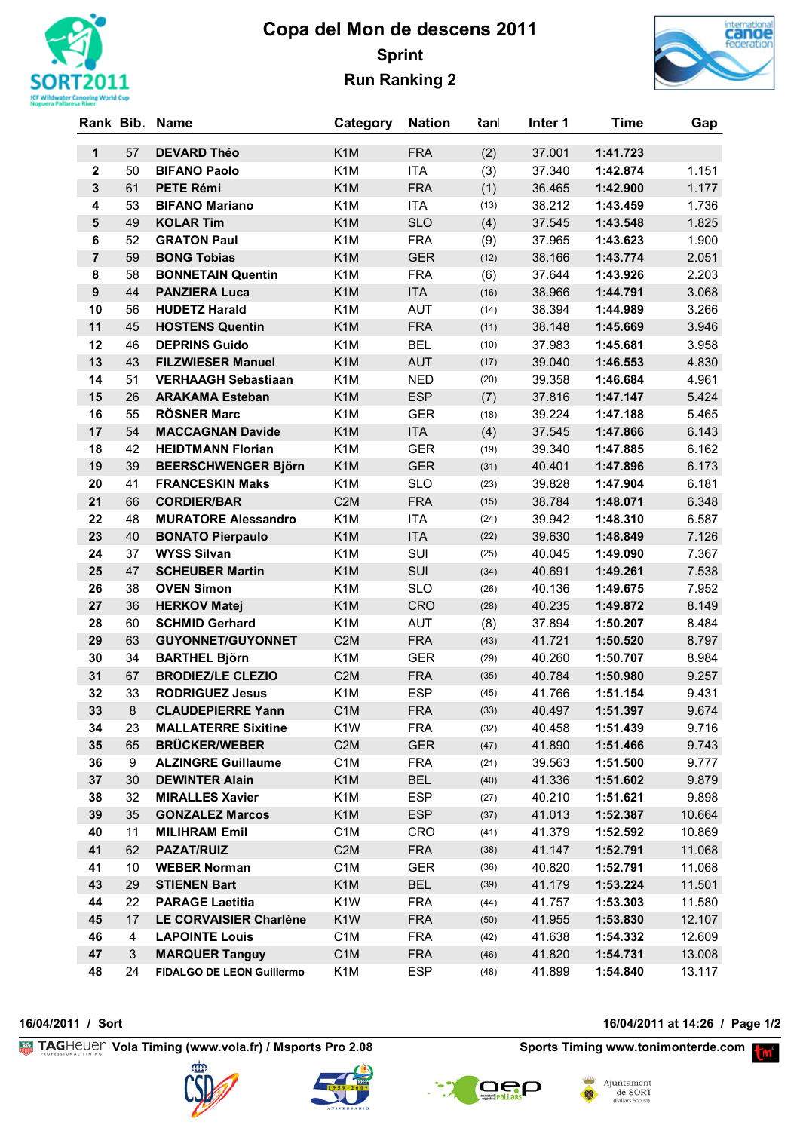

## **Copa del Mon de descens 2011 Sprint Run Ranking 2**



|                         |    | Rank Bib. Name             | Category         | <b>Nation</b> | <b>≀</b> anl | Inter 1 | <b>Time</b> | Gap    |
|-------------------------|----|----------------------------|------------------|---------------|--------------|---------|-------------|--------|
| $\mathbf{1}$            | 57 | <b>DEVARD Théo</b>         | K <sub>1</sub> M | <b>FRA</b>    | (2)          | 37.001  | 1:41.723    |        |
| $\overline{\mathbf{2}}$ | 50 | <b>BIFANO Paolo</b>        | K <sub>1</sub> M | <b>ITA</b>    | (3)          | 37.340  | 1:42.874    | 1.151  |
| $\mathbf{3}$            | 61 | <b>PETE Rémi</b>           | K <sub>1</sub> M | <b>FRA</b>    | (1)          | 36.465  | 1:42.900    | 1.177  |
| 4                       | 53 | <b>BIFANO Mariano</b>      | K <sub>1</sub> M | <b>ITA</b>    | (13)         | 38.212  | 1:43.459    | 1.736  |
| 5                       | 49 | <b>KOLAR Tim</b>           | K <sub>1</sub> M | <b>SLO</b>    | (4)          | 37.545  | 1:43.548    | 1.825  |
| 6                       | 52 | <b>GRATON Paul</b>         | K <sub>1</sub> M | <b>FRA</b>    | (9)          | 37.965  | 1:43.623    | 1.900  |
| $\overline{7}$          | 59 | <b>BONG Tobias</b>         | K <sub>1</sub> M | <b>GER</b>    | (12)         | 38.166  | 1:43.774    | 2.051  |
| 8                       | 58 | <b>BONNETAIN Quentin</b>   | K <sub>1</sub> M | <b>FRA</b>    | (6)          | 37.644  | 1:43.926    | 2.203  |
| $\boldsymbol{9}$        | 44 | <b>PANZIERA Luca</b>       | K <sub>1</sub> M | <b>ITA</b>    | (16)         | 38.966  | 1:44.791    | 3.068  |
| 10                      | 56 | <b>HUDETZ Harald</b>       | K <sub>1</sub> M | <b>AUT</b>    | (14)         | 38.394  | 1:44.989    | 3.266  |
| 11                      | 45 | <b>HOSTENS Quentin</b>     | K <sub>1</sub> M | <b>FRA</b>    | (11)         | 38.148  | 1:45.669    | 3.946  |
| 12                      | 46 | <b>DEPRINS Guido</b>       | K <sub>1</sub> M | <b>BEL</b>    | (10)         | 37.983  | 1:45.681    | 3.958  |
| 13                      | 43 | <b>FILZWIESER Manuel</b>   | K <sub>1</sub> M | <b>AUT</b>    | (17)         | 39.040  | 1:46.553    | 4.830  |
| 14                      | 51 | <b>VERHAAGH Sebastiaan</b> | K <sub>1</sub> M | <b>NED</b>    | (20)         | 39.358  | 1:46.684    | 4.961  |
| 15                      | 26 | <b>ARAKAMA Esteban</b>     | K <sub>1</sub> M | <b>ESP</b>    | (7)          | 37.816  | 1:47.147    | 5.424  |
| 16                      | 55 | <b>RÖSNER Marc</b>         | K <sub>1</sub> M | <b>GER</b>    | (18)         | 39.224  | 1:47.188    | 5.465  |
| 17                      | 54 | <b>MACCAGNAN Davide</b>    | K <sub>1</sub> M | <b>ITA</b>    | (4)          | 37.545  | 1:47.866    | 6.143  |
| 18                      | 42 | <b>HEIDTMANN Florian</b>   | K <sub>1</sub> M | <b>GER</b>    | (19)         | 39.340  | 1:47.885    | 6.162  |
| 19                      | 39 | <b>BEERSCHWENGER Björn</b> | K <sub>1</sub> M | <b>GER</b>    | (31)         | 40.401  | 1:47.896    | 6.173  |
| 20                      | 41 | <b>FRANCESKIN Maks</b>     | K <sub>1</sub> M | <b>SLO</b>    | (23)         | 39.828  | 1:47.904    | 6.181  |
| 21                      | 66 | <b>CORDIER/BAR</b>         | C <sub>2</sub> M | <b>FRA</b>    | (15)         | 38.784  | 1:48.071    | 6.348  |
| 22                      | 48 | <b>MURATORE Alessandro</b> | K <sub>1</sub> M | <b>ITA</b>    | (24)         | 39.942  | 1:48.310    | 6.587  |
| 23                      | 40 | <b>BONATO Pierpaulo</b>    | K <sub>1</sub> M | <b>ITA</b>    | (22)         | 39.630  | 1:48.849    | 7.126  |
| 24                      | 37 | <b>WYSS Silvan</b>         | K <sub>1</sub> M | SUI           | (25)         | 40.045  | 1:49.090    | 7.367  |
| 25                      | 47 | <b>SCHEUBER Martin</b>     | K <sub>1</sub> M | <b>SUI</b>    | (34)         | 40.691  | 1:49.261    | 7.538  |
| 26                      | 38 | <b>OVEN Simon</b>          | K <sub>1</sub> M | <b>SLO</b>    | (26)         | 40.136  | 1:49.675    | 7.952  |
| 27                      | 36 | <b>HERKOV Matej</b>        | K <sub>1</sub> M | <b>CRO</b>    | (28)         | 40.235  | 1:49.872    | 8.149  |
| 28                      | 60 | <b>SCHMID Gerhard</b>      | K <sub>1</sub> M | <b>AUT</b>    | (8)          | 37.894  | 1:50.207    | 8.484  |
| 29                      | 63 | <b>GUYONNET/GUYONNET</b>   | C <sub>2</sub> M | <b>FRA</b>    | (43)         | 41.721  | 1:50.520    | 8.797  |
| 30                      | 34 | <b>BARTHEL Björn</b>       | K <sub>1</sub> M | <b>GER</b>    | (29)         | 40.260  | 1:50.707    | 8.984  |
| 31                      | 67 | <b>BRODIEZ/LE CLEZIO</b>   | C <sub>2</sub> M | <b>FRA</b>    | (35)         | 40.784  | 1:50.980    | 9.257  |
| 32                      | 33 | <b>RODRIGUEZ Jesus</b>     | K <sub>1</sub> M | <b>ESP</b>    | (45)         | 41.766  | 1:51.154    | 9.431  |
| 33                      | 8  | <b>CLAUDEPIERRE Yann</b>   | C <sub>1</sub> M | <b>FRA</b>    | (33)         | 40.497  | 1:51.397    | 9.674  |
| 34                      | 23 | <b>MALLATERRE Sixitine</b> | K <sub>1</sub> W | <b>FRA</b>    | (32)         | 40.458  | 1:51.439    | 9.716  |
| 35                      | 65 | <b>BRÜCKER/WEBER</b>       | C <sub>2</sub> M | <b>GER</b>    | (47)         | 41.890  | 1:51.466    | 9.743  |
| 36                      | 9  | <b>ALZINGRE Guillaume</b>  | C <sub>1</sub> M | <b>FRA</b>    | (21)         | 39.563  | 1:51.500    | 9.777  |
| 37                      | 30 | <b>DEWINTER Alain</b>      | K <sub>1</sub> M | <b>BEL</b>    | (40)         | 41.336  | 1:51.602    | 9.879  |
| 38                      | 32 | <b>MIRALLES Xavier</b>     | K <sub>1</sub> M | <b>ESP</b>    | (27)         | 40.210  | 1:51.621    | 9.898  |
| 39                      | 35 | <b>GONZALEZ Marcos</b>     | K <sub>1</sub> M | <b>ESP</b>    | (37)         | 41.013  | 1:52.387    | 10.664 |
| 40                      | 11 | <b>MILIHRAM Emil</b>       | C <sub>1</sub> M | <b>CRO</b>    | (41)         | 41.379  | 1:52.592    | 10.869 |
| 41                      | 62 | <b>PAZAT/RUIZ</b>          | C <sub>2</sub> M | <b>FRA</b>    | (38)         | 41.147  | 1:52.791    | 11.068 |
| 41                      | 10 | <b>WEBER Norman</b>        | C <sub>1</sub> M | <b>GER</b>    | (36)         | 40.820  | 1:52.791    | 11.068 |
| 43                      | 29 | <b>STIENEN Bart</b>        | K <sub>1</sub> M | <b>BEL</b>    | (39)         | 41.179  | 1:53.224    | 11.501 |
| 44                      | 22 | <b>PARAGE Laetitia</b>     | K <sub>1</sub> W | <b>FRA</b>    | (44)         | 41.757  | 1:53.303    | 11.580 |
| 45                      | 17 | LE CORVAISIER Charlène     | K <sub>1</sub> W | <b>FRA</b>    | (50)         | 41.955  | 1:53.830    | 12.107 |
| 46                      | 4  | <b>LAPOINTE Louis</b>      | C <sub>1</sub> M | <b>FRA</b>    | (42)         | 41.638  | 1:54.332    | 12.609 |
| 47                      | 3  | <b>MARQUER Tanguy</b>      | C <sub>1</sub> M | <b>FRA</b>    | (46)         | 41.820  | 1:54.731    | 13.008 |
| 48                      | 24 | FIDALGO DE LEON Guillermo  | K <sub>1</sub> M | <b>ESP</b>    | (48)         | 41.899  | 1:54.840    | 13.117 |

**Vola Timing (www.vola.fr) / Msports Pro 2.08 Sports Timing www.tonimonterde.com** 









Ajuntament de SORT<br>(Pallars Sobirà)